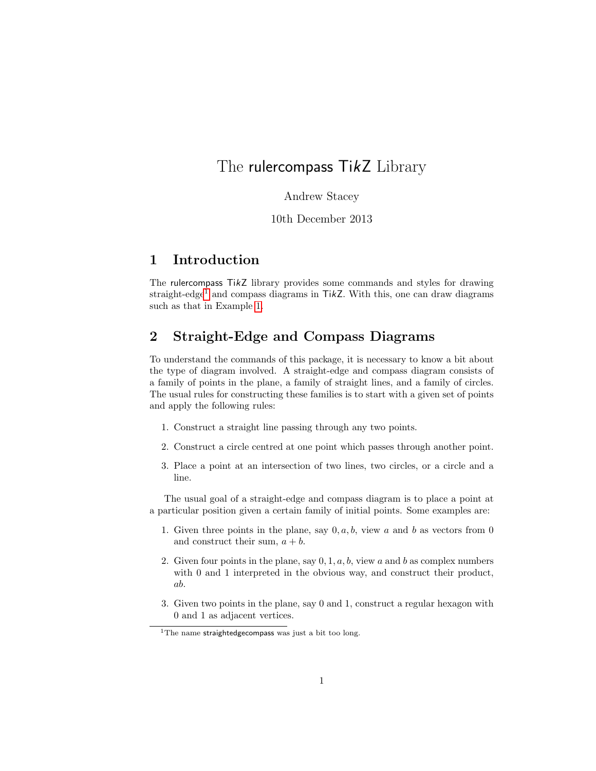# The rulercompass TikZ Library

Andrew Stacey

10th December 2013

# 1 Introduction

The rulercompass TikZ library provides some commands and styles for drawing straight-edge<sup>[1](#page-0-0)</sup> and compass diagrams in TikZ. With this, one can draw diagrams such as that in Example [1.](#page-1-0)

# 2 Straight-Edge and Compass Diagrams

To understand the commands of this package, it is necessary to know a bit about the type of diagram involved. A straight-edge and compass diagram consists of a family of points in the plane, a family of straight lines, and a family of circles. The usual rules for constructing these families is to start with a given set of points and apply the following rules:

- 1. Construct a straight line passing through any two points.
- 2. Construct a circle centred at one point which passes through another point.
- 3. Place a point at an intersection of two lines, two circles, or a circle and a line.

The usual goal of a straight-edge and compass diagram is to place a point at a particular position given a certain family of initial points. Some examples are:

- 1. Given three points in the plane, say  $0, a, b$ , view a and b as vectors from 0 and construct their sum,  $a + b$ .
- 2. Given four points in the plane, say  $0, 1, a, b$ , view a and b as complex numbers with 0 and 1 interpreted in the obvious way, and construct their product, ab.
- 3. Given two points in the plane, say 0 and 1, construct a regular hexagon with 0 and 1 as adjacent vertices.

<span id="page-0-0"></span><sup>&</sup>lt;sup>1</sup>The name straightedgecompass was just a bit too long.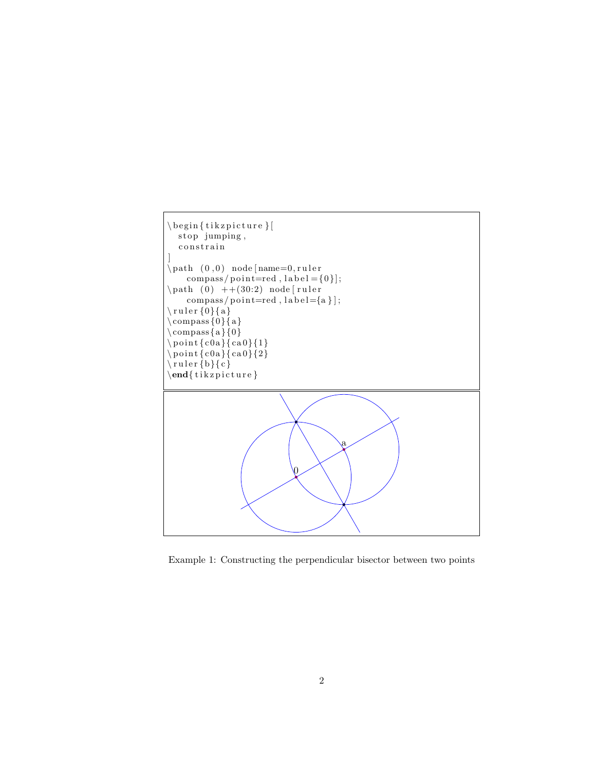

<span id="page-1-0"></span>Example 1: Constructing the perpendicular bisector between two points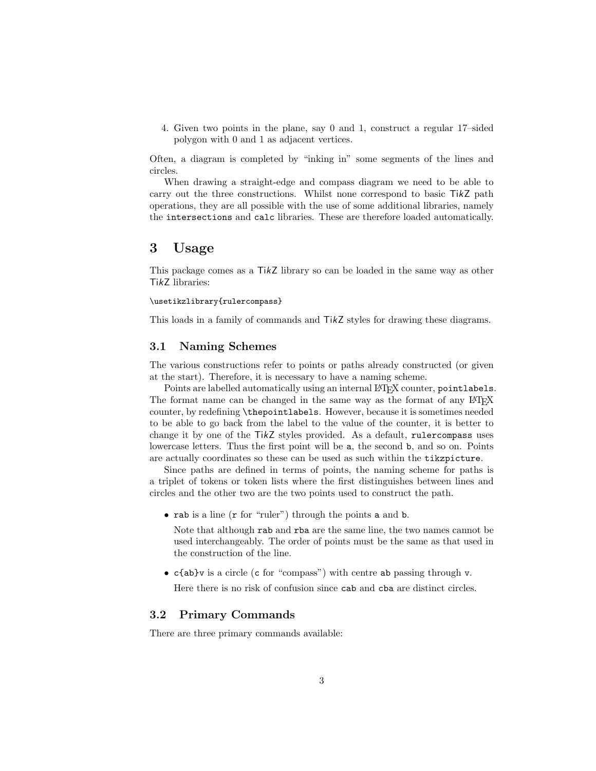4. Given two points in the plane, say 0 and 1, construct a regular 17–sided polygon with 0 and 1 as adjacent vertices.

Often, a diagram is completed by "inking in" some segments of the lines and circles.

When drawing a straight-edge and compass diagram we need to be able to carry out the three constructions. Whilst none correspond to basic  $TikZ$  path operations, they are all possible with the use of some additional libraries, namely the intersections and calc libraries. These are therefore loaded automatically.

### 3 Usage

This package comes as a TikZ library so can be loaded in the same way as other TikZ libraries:

#### \usetikzlibrary{rulercompass}

This loads in a family of commands and TikZ styles for drawing these diagrams.

#### 3.1 Naming Schemes

The various constructions refer to points or paths already constructed (or given at the start). Therefore, it is necessary to have a naming scheme.

Points are labelled automatically using an internal LAT<sub>EX</sub> counter, pointlabels. The format name can be changed in the same way as the format of any LAT<sub>EX</sub> counter, by redefining \thepointlabels. However, because it is sometimes needed to be able to go back from the label to the value of the counter, it is better to change it by one of the TikZ styles provided. As a default, rulercompass uses lowercase letters. Thus the first point will be a, the second b, and so on. Points are actually coordinates so these can be used as such within the tikzpicture.

Since paths are defined in terms of points, the naming scheme for paths is a triplet of tokens or token lists where the first distinguishes between lines and circles and the other two are the two points used to construct the path.

• rab is a line (r for "ruler") through the points a and b.

Note that although rab and rba are the same line, the two names cannot be used interchangeably. The order of points must be the same as that used in the construction of the line.

• c{ab}v is a circle (c for "compass") with centre ab passing through v.

Here there is no risk of confusion since cab and cba are distinct circles.

#### 3.2 Primary Commands

There are three primary commands available: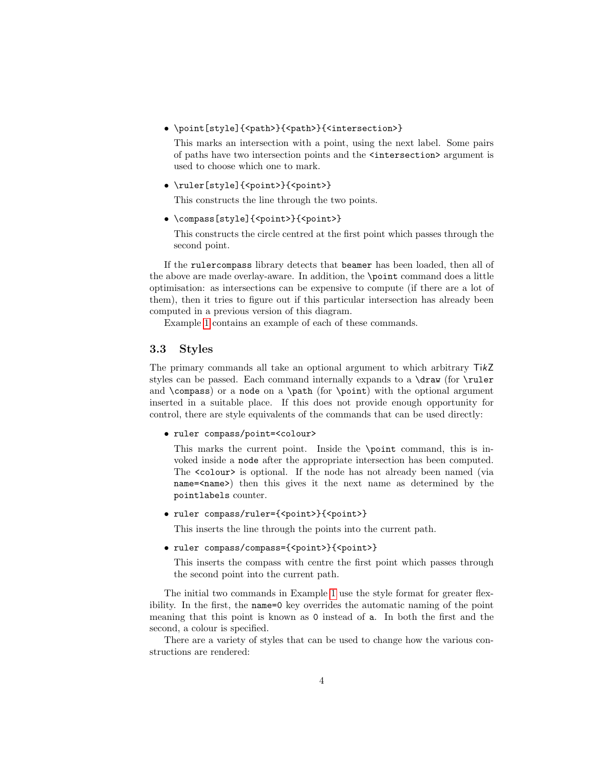• \point[style]{<path>}{<path>}{<intersection>}

This marks an intersection with a point, using the next label. Some pairs of paths have two intersection points and the <intersection> argument is used to choose which one to mark.

• \ruler[style]{<point>}{<point>}

This constructs the line through the two points.

• \compass[style]{<point>}{<point>}

This constructs the circle centred at the first point which passes through the second point.

If the rulercompass library detects that beamer has been loaded, then all of the above are made overlay-aware. In addition, the \point command does a little optimisation: as intersections can be expensive to compute (if there are a lot of them), then it tries to figure out if this particular intersection has already been computed in a previous version of this diagram.

Example [1](#page-1-0) contains an example of each of these commands.

#### 3.3 Styles

The primary commands all take an optional argument to which arbitrary TikZ styles can be passed. Each command internally expands to a \draw (for \ruler and \compass) or a node on a \path (for \point) with the optional argument inserted in a suitable place. If this does not provide enough opportunity for control, there are style equivalents of the commands that can be used directly:

• ruler compass/point=<colour>

This marks the current point. Inside the \point command, this is invoked inside a node after the appropriate intersection has been computed. The <colour> is optional. If the node has not already been named (via name=<name>) then this gives it the next name as determined by the pointlabels counter.

• ruler compass/ruler={<point>}{<point>}

This inserts the line through the points into the current path.

• ruler compass/compass={<point>}{<point>}

This inserts the compass with centre the first point which passes through the second point into the current path.

The initial two commands in Example [1](#page-1-0) use the style format for greater flexibility. In the first, the name=0 key overrides the automatic naming of the point meaning that this point is known as 0 instead of a. In both the first and the second, a colour is specified.

There are a variety of styles that can be used to change how the various constructions are rendered: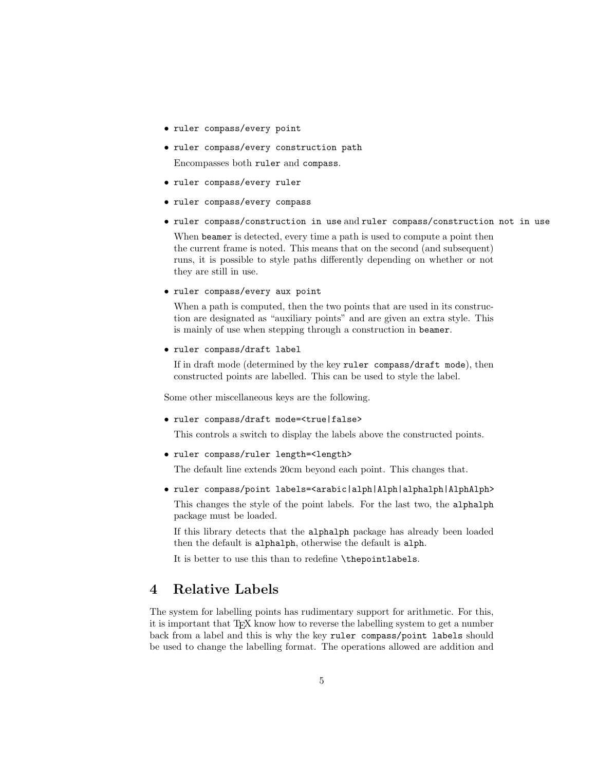- ruler compass/every point
- ruler compass/every construction path Encompasses both ruler and compass.
- ruler compass/every ruler
- ruler compass/every compass
- ruler compass/construction in use and ruler compass/construction not in use

When beamer is detected, every time a path is used to compute a point then the current frame is noted. This means that on the second (and subsequent) runs, it is possible to style paths differently depending on whether or not they are still in use.

• ruler compass/every aux point

When a path is computed, then the two points that are used in its construction are designated as "auxiliary points" and are given an extra style. This is mainly of use when stepping through a construction in beamer.

• ruler compass/draft label

If in draft mode (determined by the key ruler compass/draft mode), then constructed points are labelled. This can be used to style the label.

Some other miscellaneous keys are the following.

• ruler compass/draft mode=<true|false>

This controls a switch to display the labels above the constructed points.

• ruler compass/ruler length=<length>

The default line extends 20cm beyond each point. This changes that.

• ruler compass/point labels=<arabic|alph|Alph|alphalph|AlphAlph>

This changes the style of the point labels. For the last two, the alphalph package must be loaded.

If this library detects that the alphalph package has already been loaded then the default is alphalph, otherwise the default is alph.

It is better to use this than to redefine \thepointlabels.

## 4 Relative Labels

The system for labelling points has rudimentary support for arithmetic. For this, it is important that TEX know how to reverse the labelling system to get a number back from a label and this is why the key ruler compass/point labels should be used to change the labelling format. The operations allowed are addition and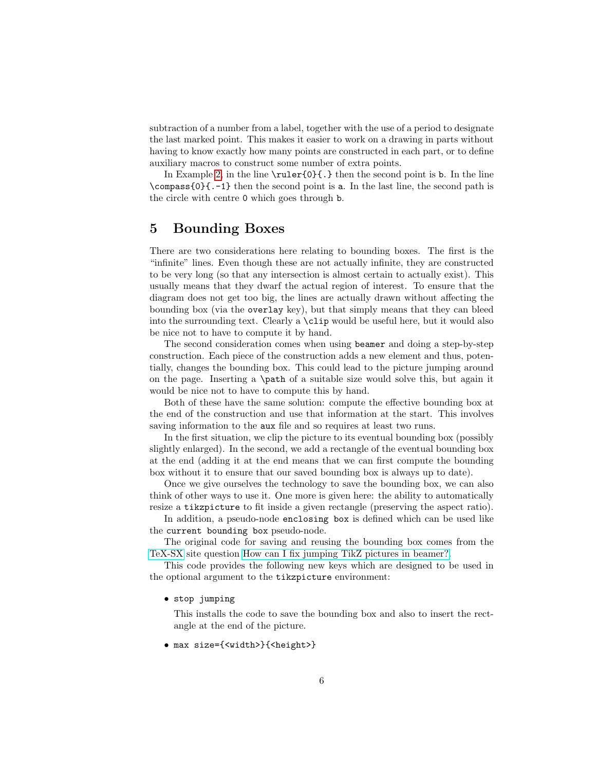subtraction of a number from a label, together with the use of a period to designate the last marked point. This makes it easier to work on a drawing in parts without having to know exactly how many points are constructed in each part, or to define auxiliary macros to construct some number of extra points.

In Example [2,](#page-6-0) in the line  $\rceil{0}$ . In the second point is b. In the line \compass{0}{.-1} then the second point is a. In the last line, the second path is the circle with centre 0 which goes through b.

### 5 Bounding Boxes

There are two considerations here relating to bounding boxes. The first is the "infinite" lines. Even though these are not actually infinite, they are constructed to be very long (so that any intersection is almost certain to actually exist). This usually means that they dwarf the actual region of interest. To ensure that the diagram does not get too big, the lines are actually drawn without affecting the bounding box (via the overlay key), but that simply means that they can bleed into the surrounding text. Clearly a \clip would be useful here, but it would also be nice not to have to compute it by hand.

The second consideration comes when using beamer and doing a step-by-step construction. Each piece of the construction adds a new element and thus, potentially, changes the bounding box. This could lead to the picture jumping around on the page. Inserting a \path of a suitable size would solve this, but again it would be nice not to have to compute this by hand.

Both of these have the same solution: compute the effective bounding box at the end of the construction and use that information at the start. This involves saving information to the aux file and so requires at least two runs.

In the first situation, we clip the picture to its eventual bounding box (possibly slightly enlarged). In the second, we add a rectangle of the eventual bounding box at the end (adding it at the end means that we can first compute the bounding box without it to ensure that our saved bounding box is always up to date).

Once we give ourselves the technology to save the bounding box, we can also think of other ways to use it. One more is given here: the ability to automatically resize a tikzpicture to fit inside a given rectangle (preserving the aspect ratio).

In addition, a pseudo-node enclosing box is defined which can be used like the current bounding box pseudo-node.

The original code for saving and reusing the bounding box comes from the [TeX-SX](http://tex.stackexchange.com) site question [How can I fix jumping TikZ pictures in beamer?.](http://tex.stackexchange.com/q/18704/86)

This code provides the following new keys which are designed to be used in the optional argument to the tikzpicture environment:

• stop jumping

This installs the code to save the bounding box and also to insert the rectangle at the end of the picture.

• max size={<width>}{<height>}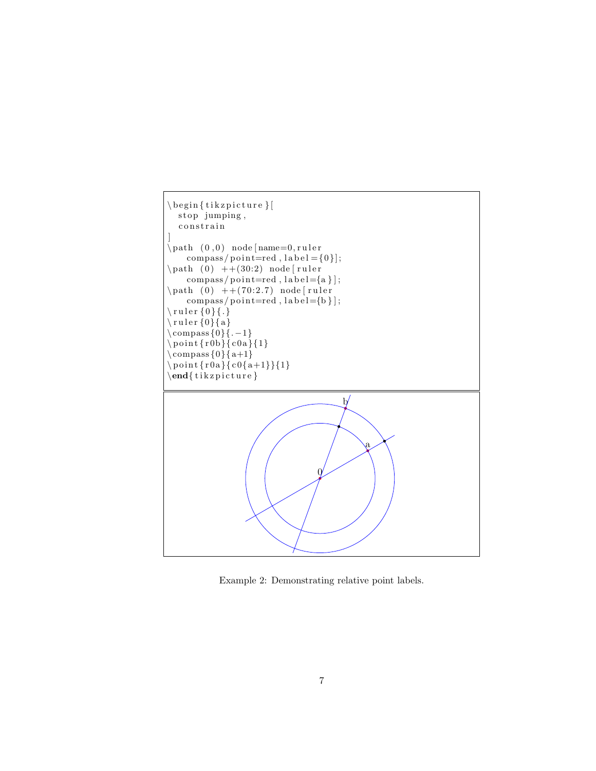

<span id="page-6-0"></span>Example 2: Demonstrating relative point labels.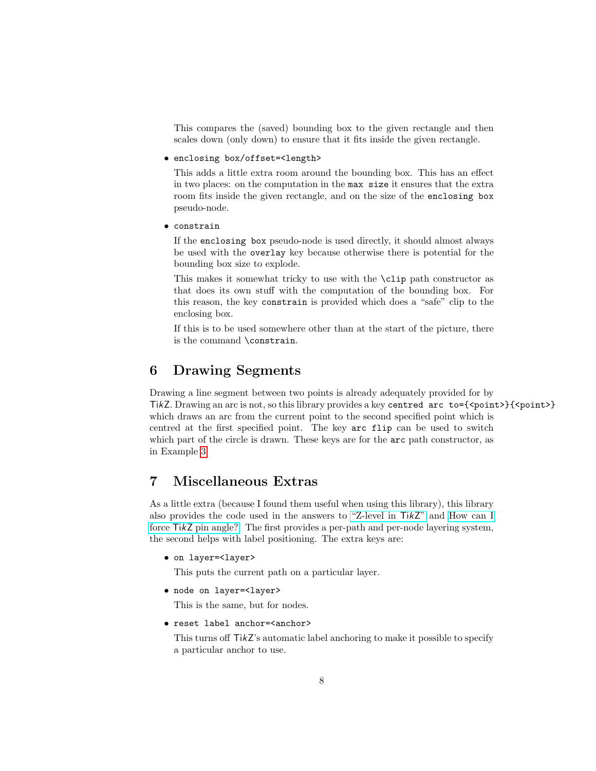This compares the (saved) bounding box to the given rectangle and then scales down (only down) to ensure that it fits inside the given rectangle.

#### • enclosing box/offset=<length>

This adds a little extra room around the bounding box. This has an effect in two places: on the computation in the max size it ensures that the extra room fits inside the given rectangle, and on the size of the enclosing box pseudo-node.

• constrain

If the enclosing box pseudo-node is used directly, it should almost always be used with the overlay key because otherwise there is potential for the bounding box size to explode.

This makes it somewhat tricky to use with the \clip path constructor as that does its own stuff with the computation of the bounding box. For this reason, the key constrain is provided which does a "safe" clip to the enclosing box.

If this is to be used somewhere other than at the start of the picture, there is the command \constrain.

## 6 Drawing Segments

Drawing a line segment between two points is already adequately provided for by TikZ. Drawing an arc is not, so this library provides a key centred  $arc$  to={<point>}{<point>} which draws an arc from the current point to the second specified point which is centred at the first specified point. The key arc flip can be used to switch which part of the circle is drawn. These keys are for the  $arc$  path constructor, as in Example [3.](#page-8-0)

# 7 Miscellaneous Extras

As a little extra (because I found them useful when using this library), this library also provides the code used in the answers to ["Z-level in](http://tex.stackexchange.com/a/20426/86) TikZ" and [How can I](http://tex.stackexchange.com/a/43946/86) force TikZ [pin angle?.](http://tex.stackexchange.com/a/43946/86) The first provides a per-path and per-node layering system, the second helps with label positioning. The extra keys are:

• on layer=<layer>

This puts the current path on a particular layer.

• node on layer=<layer>

This is the same, but for nodes.

• reset label anchor=<anchor>

This turns off TikZ's automatic label anchoring to make it possible to specify a particular anchor to use.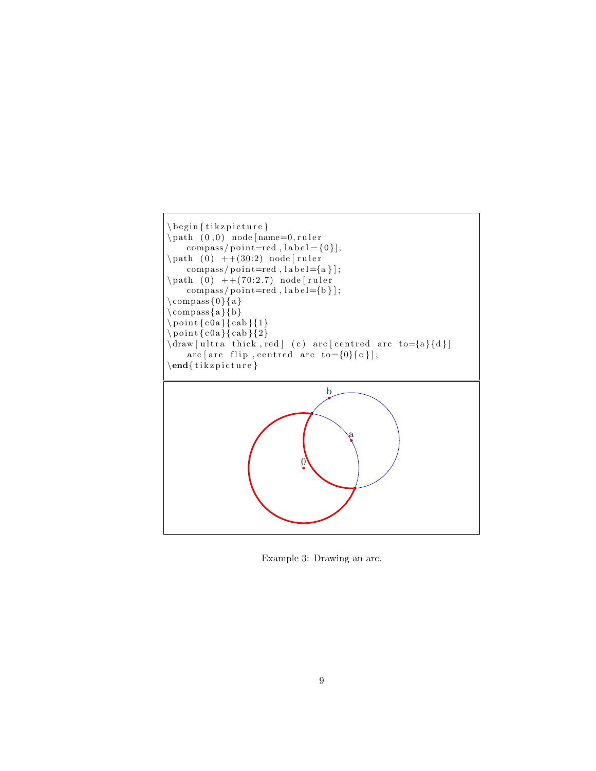

<span id="page-8-0"></span>Example 3: Drawing an arc.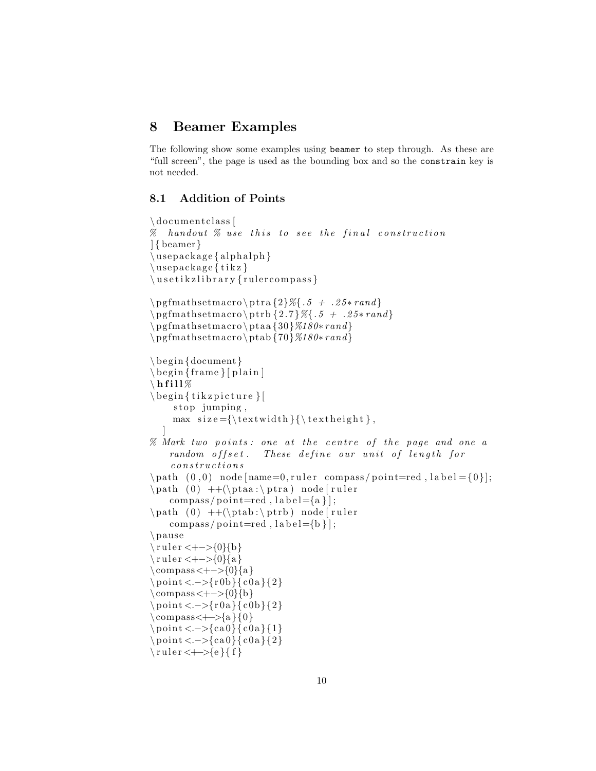### 8 Beamer Examples

The following show some examples using beamer to step through. As these are "full screen", the page is used as the bounding box and so the constrain key is not needed.

#### 8.1 Addition of Points

```
\documentclass [
\% handout \% use this to see the final construction
] { beamer}
\langle u sepackage { alphalph }
\backslashu sepackage { t i k z }
\backslashu s e t i k z l i b r a r y { r ul e r c om p as s }
\pgfmathsetmacro \ptra{2}{\%}.5 + .25*rand\pgfmathsetmacro \ptph{2.7}{\%{.5 + .25*rand}}\ pg fmathsetmacro \ ptaa {30}%180∗ rand }
\ pg fmathsetmacro \ptab {70}%180∗ rand }
\begin{cases} \text{document} \end{cases}\begin{bmatrix} \text{frame} \\ \text{plane} \end{bmatrix}\setminus h f i l l \%\begin{array}{c} \text{begin} \end{array}stop jumping,
     max size = {\textwidth}{\ \text{textheight}},
   ]
% Mark two points: one at the centre of the page and one a
    random offset. These define our unit of length for
     \it c\,on\,stru\,ct\,io\,ns\path ( 0, 0 ) node [name=0, ruler compass/point=red, label = {0}];
\path ( 0 ) ++(\theta : \theta : \phi \nabla node [ruler]
    complexs/point=red, label={a};
\path ( 0 ) ++(\theta : \phi ) node [ ruler
    complexs/point=red, label={b};\ pause
\langle ruler <+->{0}{b}
\tau = <+{-}0{0}{a}
\text{compass} < + - > {0}{a}
\pi < -\{r 0 b\} (c0a } {2}
\text{compass}\leftarrow{}^{0}\{b\}\pi < -\{r 0 a}{c 0 b}{2}
\operatorname{compass}\leftarrow\leftarrow\{a\}\{0\}\pm 2. -\{ca0}{ c0a}{1}
\pi < -\{ca0}{c0a}{2}
\{\ ruler < \leftarrow > \{e\}{ f }
```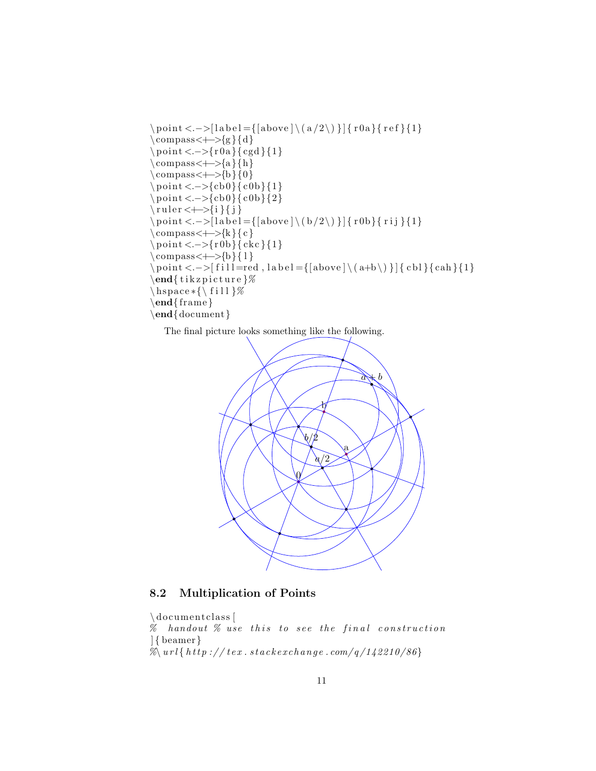```
\pi < -\[label={\ab{above} \ (a/2)\}] {\ r0a}{\ ref{4} }
\operatorname{compass}\leftarrow{}{g}{d}\pi < -\{r 0 a\} \{c g d\} \{1\}\operatorname{compass}\leftarrow\leftarrow\{a\}\{h\}\operatorname{compass}\leftarrow\leftarrow\{b\}\{0\}\pi < -\{cb0\}{ c0b}{1}
\pi < -\{cb0\}{ c0b}{2}
\{\text{ruler} \leftarrow \} \{i\}\pi < -\[label = {[above] \(b/2\) }] { r0b}{ rij }{1}
\operatorname{complexs}\leftarrow\left\{ k\right\} { c }
\ p oin t <.−>{r 0b}{ ckc }{1}
\operatorname{compress}\leftarrow\{\operatorname{b}\}\{1\}\partial \phi \point <.->[fill=red, label={[above]\(a+b\)}]{cbl}{cah}{1}
\end{math} (tik z p i c t u r e \%\hbox{\tt hspace*}{\fill}%
\end{math}\end{document}
```
The final picture looks something like the following.



### 8.2 Multiplication of Points

```
\documentclass [
\% handout \% use this to see the final construction
] { beamer}
\% \left\langle \left( \sqrt{a^{2} + b^{2}} \right) \right\rangle tex. stackerchange.com/q/142210/86}
```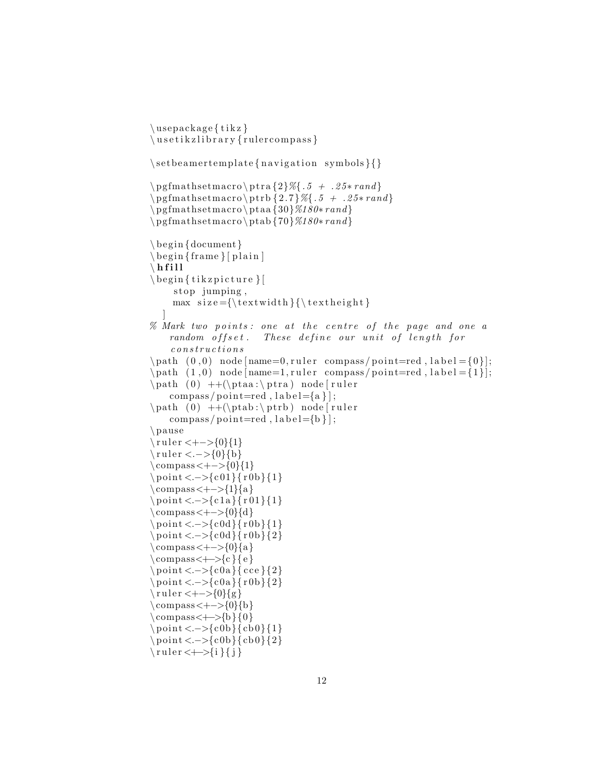```
\backslashu sepackage { t i k z }
\backslashu s e t i k z l i b r a r y { r ul e r c om p a s s }
\setminus setbeamer template { navigation symbols }{}
\pgfmathsetmacro \ptra{2}{\%}.5 + .25*rand\pgfmathsetmacro \ptrb {2.7}%{.5 + .25* rand }
\ pg fmathsetmacro \ ptaa {30}%180∗ rand }
\ pg fmathsetmacro \ptab {70}%180∗ rand }
\begin{cases} \text{document} \end{cases}\begin{bmatrix} \text{frame} \\ \text{plane} \end{bmatrix}\setminus h f i l l
\begin{bmatrix} \begin{array}{c} \end{array} \end{bmatrix}stop jumping,
     max size = {\textwidth}{\}]
% Mark two points: one at the centre of the page and one a
    random offset. These define our unit of length for
     \it c\,on\,stru\,ct\,io\,ns\mathrm{path} (0,0) node [name=0, ruler compass/point=red, label = {0}];
\path (1, 0) node[name=1, ruler compass/point=red, label={1}];\path ( 0 ) ++(\theta : \theta : \beta \) node [ ruler
    compass / point = red, label = {a}{\;};\path ( 0 ) ++(\theta : \phi : \phi \nabla node [ruler]
    compass / point = red, label = {b};
\ pause
\tau = -50{0}{1}
\text{rule } < . > \{0\}{b}
\text{compass} < + - > {0}{1}
\pm \point <. \ge {c01}{ r0b}{1}
\text{compass} < + - > {1}{a}
\pm \point <. \ge {c1a}{r01}{1}
\text{compass} < + - > {0}{d}
\ p oin t <.−>{c 0d}{ r 0b}{1}
\pi < -\{ \c{0d} \} {\r{0b} }\text{compass} < + - > {0}{a}
\text{compass} \rightarrow {c} { e }
\pm 2} \point <. - > {c0a}{ cce } {2}
\pi < -\{c0a}{r0b}{2}
\tau = <+{-}0{g}
\text{compass} < + - > {0}{b}
\operatorname{compass}\leftarrow\supset\{b\}\{0\}\pm \point <. \rightarrow {c0b}{cb0}{1}
\pi < -\{c0b\} {cb0}{2}
\{\ ruler < \leftarrow > \{i\}\
```